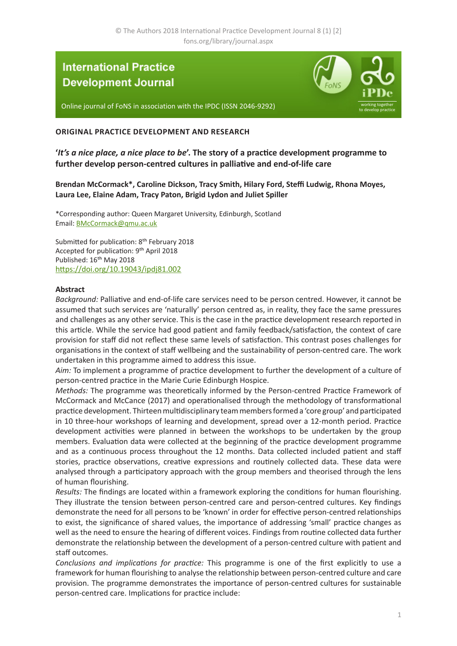# **International Practice Development Journal**



Online journal of FoNS in association with the IPDC (ISSN 2046-9292)

#### **ORIGINAL PRACTICE DEVELOPMENT AND RESEARCH**

**'***It's a nice place, a nice place to be***'. The story of a practice development programme to further develop person-centred cultures in palliative and end-of-life care**

**Brendan McCormack\*, Caroline Dickson, Tracy Smith, Hilary Ford, Steffi Ludwig, Rhona Moyes, Laura Lee, Elaine Adam, Tracy Paton, Brigid Lydon and Juliet Spiller**

\*Corresponding author: Queen Margaret University, Edinburgh, Scotland Email: [BMcCormack@qmu.ac.uk](mailto:BMcCormack%40qmu.ac.uk?subject=IPDJ%20article)

Submitted for publication: 8<sup>th</sup> February 2018 Accepted for publication: 9th April 2018 Published: 16<sup>th</sup> May 2018 [https://doi.org/10.19043/ipdj81.0](https://doi.org/10.19043/ipdj81.002)02

#### **Abstract**

*Background:* Palliative and end-of-life care services need to be person centred. However, it cannot be assumed that such services are 'naturally' person centred as, in reality, they face the same pressures and challenges as any other service. This is the case in the practice development research reported in this article. While the service had good patient and family feedback/satisfaction, the context of care provision for staff did not reflect these same levels of satisfaction. This contrast poses challenges for organisations in the context of staff wellbeing and the sustainability of person-centred care. The work undertaken in this programme aimed to address this issue.

*Aim:* To implement a programme of practice development to further the development of a culture of person-centred practice in the Marie Curie Edinburgh Hospice.

*Methods:* The programme was theoretically informed by the Person-centred Practice Framework of McCormack and McCance (2017) and operationalised through the methodology of transformational practice development. Thirteen multidisciplinary team members formed a 'core group' and participated in 10 three-hour workshops of learning and development, spread over a 12-month period. Practice development activities were planned in between the workshops to be undertaken by the group members. Evaluation data were collected at the beginning of the practice development programme and as a continuous process throughout the 12 months. Data collected included patient and staff stories, practice observations, creative expressions and routinely collected data. These data were analysed through a participatory approach with the group members and theorised through the lens of human flourishing.

*Results:* The findings are located within a framework exploring the conditions for human flourishing. They illustrate the tension between person-centred care and person-centred cultures. Key findings demonstrate the need for all persons to be 'known' in order for effective person-centred relationships to exist, the significance of shared values, the importance of addressing 'small' practice changes as well as the need to ensure the hearing of different voices. Findings from routine collected data further demonstrate the relationship between the development of a person-centred culture with patient and staff outcomes.

*Conclusions and implications for practice:* This programme is one of the first explicitly to use a framework for human flourishing to analyse the relationship between person-centred culture and care provision. The programme demonstrates the importance of person-centred cultures for sustainable person-centred care. Implications for practice include: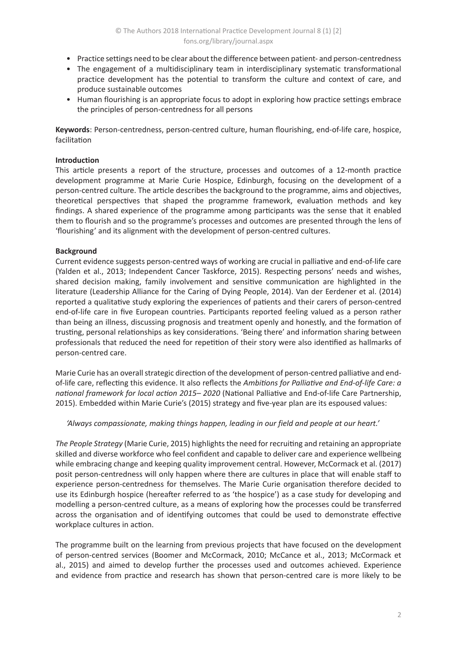- Practice settings need to be clear about the difference between patient- and person-centredness
- The engagement of a multidisciplinary team in interdisciplinary systematic transformational practice development has the potential to transform the culture and context of care, and produce sustainable outcomes
- Human flourishing is an appropriate focus to adopt in exploring how practice settings embrace the principles of person-centredness for all persons

**Keywords**: Person-centredness, person-centred culture, human flourishing, end-of-life care, hospice, facilitation

## **Introduction**

This article presents a report of the structure, processes and outcomes of a 12-month practice development programme at Marie Curie Hospice, Edinburgh, focusing on the development of a person-centred culture. The article describes the background to the programme, aims and objectives, theoretical perspectives that shaped the programme framework, evaluation methods and key findings. A shared experience of the programme among participants was the sense that it enabled them to flourish and so the programme's processes and outcomes are presented through the lens of 'flourishing' and its alignment with the development of person-centred cultures.

## **Background**

Current evidence suggests person-centred ways of working are crucial in palliative and end-of-life care (Yalden et al., 2013; Independent Cancer Taskforce, 2015). Respecting persons' needs and wishes, shared decision making, family involvement and sensitive communication are highlighted in the literature (Leadership Alliance for the Caring of Dying People, 2014). Van der Eerdener et al. (2014) reported a qualitative study exploring the experiences of patients and their carers of person-centred end-of-life care in five European countries. Participants reported feeling valued as a person rather than being an illness, discussing prognosis and treatment openly and honestly, and the formation of trusting, personal relationships as key considerations. 'Being there' and information sharing between professionals that reduced the need for repetition of their story were also identified as hallmarks of person-centred care.

Marie Curie has an overall strategic direction of the development of person-centred palliative and endof-life care, reflecting this evidence. It also reflects the *Ambitions for Palliative and End-of-life Care: a national framework for local action 2015– 2020* (National Palliative and End-of-life Care Partnership, 2015). Embedded within Marie Curie's (2015) strategy and five-year plan are its espoused values:

*'Always compassionate, making things happen, leading in our field and people at our heart.'*

*The People Strategy* (Marie Curie, 2015) highlights the need for recruiting and retaining an appropriate skilled and diverse workforce who feel confident and capable to deliver care and experience wellbeing while embracing change and keeping quality improvement central. However, McCormack et al. (2017) posit person-centredness will only happen where there are cultures in place that will enable staff to experience person-centredness for themselves. The Marie Curie organisation therefore decided to use its Edinburgh hospice (hereafter referred to as 'the hospice') as a case study for developing and modelling a person-centred culture, as a means of exploring how the processes could be transferred across the organisation and of identifying outcomes that could be used to demonstrate effective workplace cultures in action.

The programme built on the learning from previous projects that have focused on the development of person-centred services (Boomer and McCormack, 2010; McCance et al., 2013; McCormack et al., 2015) and aimed to develop further the processes used and outcomes achieved. Experience and evidence from practice and research has shown that person-centred care is more likely to be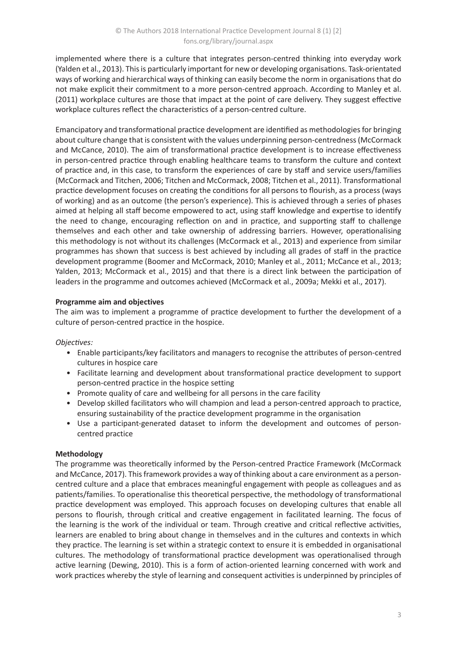implemented where there is a culture that integrates person-centred thinking into everyday work (Yalden et al., 2013). This is particularly important for new or developing organisations. Task-orientated ways of working and hierarchical ways of thinking can easily become the norm in organisations that do not make explicit their commitment to a more person-centred approach. According to Manley et al. (2011) workplace cultures are those that impact at the point of care delivery. They suggest effective workplace cultures reflect the characteristics of a person-centred culture.

Emancipatory and transformational practice development are identified as methodologies for bringing about culture change that is consistent with the values underpinning person-centredness (McCormack and McCance, 2010). The aim of transformational practice development is to increase effectiveness in person-centred practice through enabling healthcare teams to transform the culture and context of practice and, in this case, to transform the experiences of care by staff and service users/families (McCormack and Titchen, 2006; Titchen and McCormack, 2008; Titchen et al., 2011). Transformational practice development focuses on creating the conditions for all persons to flourish, as a process (ways of working) and as an outcome (the person's experience). This is achieved through a series of phases aimed at helping all staff become empowered to act, using staff knowledge and expertise to identify the need to change, encouraging reflection on and in practice, and supporting staff to challenge themselves and each other and take ownership of addressing barriers. However, operationalising this methodology is not without its challenges (McCormack et al., 2013) and experience from similar programmes has shown that success is best achieved by including all grades of staff in the practice development programme (Boomer and McCormack, 2010; Manley et al., 2011; McCance et al., 2013; Yalden, 2013; McCormack et al., 2015) and that there is a direct link between the participation of leaders in the programme and outcomes achieved (McCormack et al., 2009a; Mekki et al., 2017).

## **Programme aim and objectives**

The aim was to implement a programme of practice development to further the development of a culture of person-centred practice in the hospice.

*Objectives:*

- Enable participants/key facilitators and managers to recognise the attributes of person-centred cultures in hospice care
- Facilitate learning and development about transformational practice development to support person-centred practice in the hospice setting
- Promote quality of care and wellbeing for all persons in the care facility
- Develop skilled facilitators who will champion and lead a person-centred approach to practice, ensuring sustainability of the practice development programme in the organisation
- Use a participant-generated dataset to inform the development and outcomes of personcentred practice

## **Methodology**

The programme was theoretically informed by the Person-centred Practice Framework (McCormack and McCance, 2017). This framework provides a way of thinking about a care environment as a personcentred culture and a place that embraces meaningful engagement with people as colleagues and as patients/families. To operationalise this theoretical perspective, the methodology of transformational practice development was employed. This approach focuses on developing cultures that enable all persons to flourish, through critical and creative engagement in facilitated learning. The focus of the learning is the work of the individual or team. Through creative and critical reflective activities, learners are enabled to bring about change in themselves and in the cultures and contexts in which they practice. The learning is set within a strategic context to ensure it is embedded in organisational cultures. The methodology of transformational practice development was operationalised through active learning (Dewing, 2010). This is a form of action-oriented learning concerned with work and work practices whereby the style of learning and consequent activities is underpinned by principles of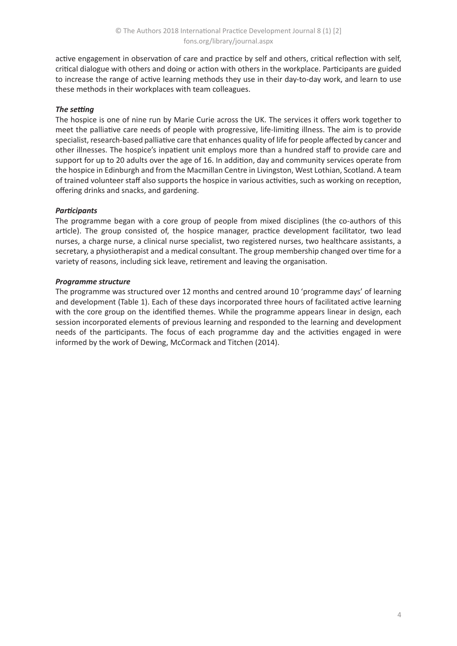active engagement in observation of care and practice by self and others, critical reflection with self, critical dialogue with others and doing or action with others in the workplace. Participants are guided to increase the range of active learning methods they use in their day-to-day work, and learn to use these methods in their workplaces with team colleagues.

## *The setting*

The hospice is one of nine run by Marie Curie across the UK. The services it offers work together to meet the palliative care needs of people with progressive, life-limiting illness. The aim is to provide specialist, research-based palliative care that enhances quality of life for people affected by cancer and other illnesses. The hospice's inpatient unit employs more than a hundred staff to provide care and support for up to 20 adults over the age of 16. In addition, day and community services operate from the hospice in Edinburgh and from the Macmillan Centre in Livingston, West Lothian, Scotland. A team of trained volunteer staff also supports the hospice in various activities, such as working on reception, offering drinks and snacks, and gardening.

## *Participants*

The programme began with a core group of people from mixed disciplines (the co-authors of this article). The group consisted of, the hospice manager, practice development facilitator, two lead nurses, a charge nurse, a clinical nurse specialist, two registered nurses, two healthcare assistants, a secretary, a physiotherapist and a medical consultant. The group membership changed over time for a variety of reasons, including sick leave, retirement and leaving the organisation.

## *Programme structure*

The programme was structured over 12 months and centred around 10 'programme days' of learning and development (Table 1). Each of these days incorporated three hours of facilitated active learning with the core group on the identified themes. While the programme appears linear in design, each session incorporated elements of previous learning and responded to the learning and development needs of the participants. The focus of each programme day and the activities engaged in were informed by the work of Dewing, McCormack and Titchen (2014).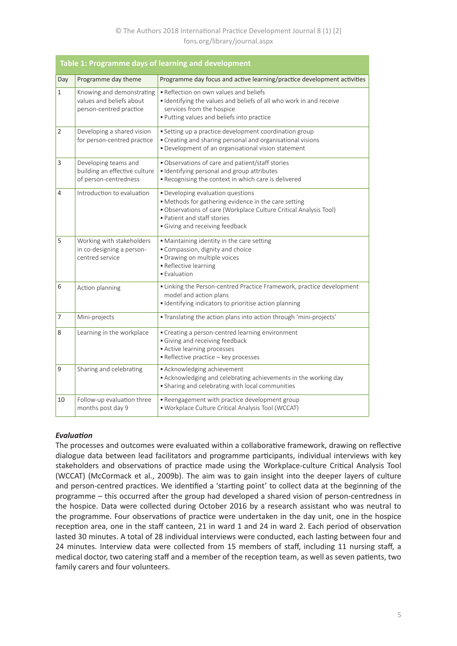## © The Authors 2018 International Practice Development Journal 8 (1) [2] fons.org/library/journal.aspx

| <b>Table 1: Programme days of learning and development</b> |                                                                                  |                                                                                                                                                                                                                                  |  |
|------------------------------------------------------------|----------------------------------------------------------------------------------|----------------------------------------------------------------------------------------------------------------------------------------------------------------------------------------------------------------------------------|--|
| Day                                                        | Programme day theme                                                              | Programme day focus and active learning/practice development activities                                                                                                                                                          |  |
| $\mathbf{1}$                                               | Knowing and demonstrating<br>values and beliefs about<br>person-centred practice | • Reflection on own values and beliefs<br>· Identifying the values and beliefs of all who work in and receive<br>services from the hospice<br>. Putting values and beliefs into practice                                         |  |
| $\overline{2}$                                             | Developing a shared vision<br>for person-centred practice                        | · Setting up a practice development coordination group<br>• Creating and sharing personal and organisational visions<br>· Development of an organisational vision statement                                                      |  |
| 3                                                          | Developing teams and<br>building an effective culture<br>of person-centredness   | · Observations of care and patient/staff stories<br>· Identifying personal and group attributes<br>. Recognising the context in which care is delivered                                                                          |  |
| 4                                                          | Introduction to evaluation                                                       | • Developing evaluation questions<br>• Methods for gathering evidence in the care setting<br>. Observations of care (Workplace Culture Critical Analysis Tool)<br>• Patient and staff stories<br>• Giving and receiving feedback |  |
| 5                                                          | Working with stakeholders<br>in co-designing a person-<br>centred service        | . Maintaining identity in the care setting<br>· Compassion, dignity and choice<br>· Drawing on multiple voices<br>• Reflective learning<br>• Evaluation                                                                          |  |
| 6                                                          | Action planning                                                                  | • Linking the Person-centred Practice Framework, practice development<br>model and action plans<br>· Identifying indicators to prioritise action planning                                                                        |  |
| 7                                                          | Mini-projects                                                                    | • Translating the action plans into action through 'mini-projects'                                                                                                                                                               |  |
| 8                                                          | Learning in the workplace                                                        | • Creating a person-centred learning environment<br>· Giving and receiving feedback<br>• Active learning processes<br>• Reflective practice - key processes                                                                      |  |
| 9                                                          | Sharing and celebrating                                                          | • Acknowledging achievement<br>• Acknowledging and celebrating achievements in the working day<br>• Sharing and celebrating with local communities                                                                               |  |
| 10                                                         | Follow-up evaluation three<br>months post day 9                                  | • Reengagement with practice development group<br>· Workplace Culture Critical Analysis Tool (WCCAT)                                                                                                                             |  |

## *Evaluation*

The processes and outcomes were evaluated within a collaborative framework, drawing on reflective dialogue data between lead facilitators and programme participants, individual interviews with key stakeholders and observations of practice made using the Workplace-culture Critical Analysis Tool (WCCAT) (McCormack et al., 2009b). The aim was to gain insight into the deeper layers of culture and person-centred practices. We identified a 'starting point' to collect data at the beginning of the programme – this occurred after the group had developed a shared vision of person-centredness in the hospice. Data were collected during October 2016 by a research assistant who was neutral to the programme. Four observations of practice were undertaken in the day unit, one in the hospice reception area, one in the staff canteen, 21 in ward 1 and 24 in ward 2. Each period of observation lasted 30 minutes. A total of 28 individual interviews were conducted, each lasting between four and 24 minutes. Interview data were collected from 15 members of staff, including 11 nursing staff, a medical doctor, two catering staff and a member of the reception team, as well as seven patients, two family carers and four volunteers.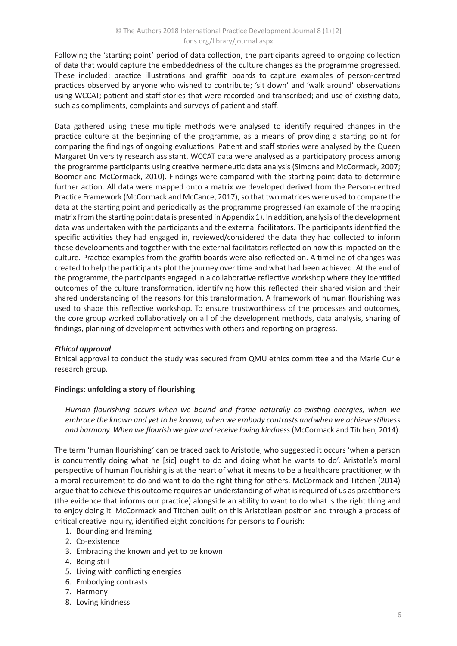## © The Authors 2018 International Practice Development Journal 8 (1) [2] fons.org/library/journal.aspx

Following the 'starting point' period of data collection, the participants agreed to ongoing collection of data that would capture the embeddedness of the culture changes as the programme progressed. These included: practice illustrations and graffiti boards to capture examples of person-centred practices observed by anyone who wished to contribute; 'sit down' and 'walk around' observations using WCCAT; patient and staff stories that were recorded and transcribed; and use of existing data, such as compliments, complaints and surveys of patient and staff.

Data gathered using these multiple methods were analysed to identify required changes in the practice culture at the beginning of the programme, as a means of providing a starting point for comparing the findings of ongoing evaluations. Patient and staff stories were analysed by the Queen Margaret University research assistant. WCCAT data were analysed as a participatory process among the programme participants using creative hermeneutic data analysis (Simons and McCormack, 2007; Boomer and McCormack, 2010). Findings were compared with the starting point data to determine further action. All data were mapped onto a matrix we developed derived from the Person-centred Practice Framework (McCormack and McCance, 2017), so that two matrices were used to compare the data at the starting point and periodically as the programme progressed (an example of the mapping matrix from the starting point data is presented in Appendix 1). In addition, analysis of the development data was undertaken with the participants and the external facilitators. The participants identified the specific activities they had engaged in, reviewed/considered the data they had collected to inform these developments and together with the external facilitators reflected on how this impacted on the culture. Practice examples from the graffiti boards were also reflected on. A timeline of changes was created to help the participants plot the journey over time and what had been achieved. At the end of the programme, the participants engaged in a collaborative reflective workshop where they identified outcomes of the culture transformation, identifying how this reflected their shared vision and their shared understanding of the reasons for this transformation. A framework of human flourishing was used to shape this reflective workshop. To ensure trustworthiness of the processes and outcomes, the core group worked collaboratively on all of the development methods, data analysis, sharing of findings, planning of development activities with others and reporting on progress.

## *Ethical approval*

Ethical approval to conduct the study was secured from QMU ethics committee and the Marie Curie research group.

#### **Findings: unfolding a story of flourishing**

*Human flourishing occurs when we bound and frame naturally co-existing energies, when we embrace the known and yet to be known, when we embody contrasts and when we achieve stillness*  and harmony. When we flourish we give and receive loving kindness (McCormack and Titchen, 2014).

The term 'human flourishing' can be traced back to Aristotle, who suggested it occurs 'when a person is concurrently doing what he [sic] ought to do and doing what he wants to do'. Aristotle's moral perspective of human flourishing is at the heart of what it means to be a healthcare practitioner, with a moral requirement to do and want to do the right thing for others. McCormack and Titchen (2014) argue that to achieve this outcome requires an understanding of what is required of us as practitioners (the evidence that informs our practice) alongside an ability to want to do what is the right thing and to enjoy doing it. McCormack and Titchen built on this Aristotlean position and through a process of critical creative inquiry, identified eight conditions for persons to flourish:

- 1. Bounding and framing
- 2. Co-existence
- 3. Embracing the known and yet to be known
- 4. Being still
- 5. Living with conflicting energies
- 6. Embodying contrasts
- 7. Harmony
- 8. Loving kindness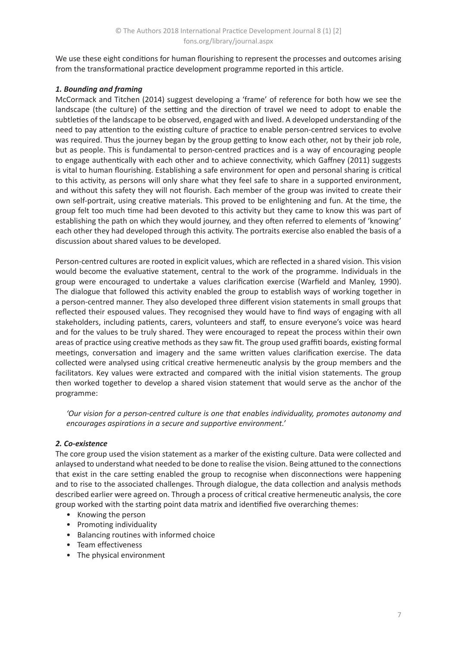We use these eight conditions for human flourishing to represent the processes and outcomes arising from the transformational practice development programme reported in this article.

## *1. Bounding and framing*

McCormack and Titchen (2014) suggest developing a 'frame' of reference for both how we see the landscape (the culture) of the setting and the direction of travel we need to adopt to enable the subtleties of the landscape to be observed, engaged with and lived. A developed understanding of the need to pay attention to the existing culture of practice to enable person-centred services to evolve was required. Thus the journey began by the group getting to know each other, not by their job role, but as people. This is fundamental to person-centred practices and is a way of encouraging people to engage authentically with each other and to achieve connectivity, which Gaffney (2011) suggests is vital to human flourishing. Establishing a safe environment for open and personal sharing is critical to this activity, as persons will only share what they feel safe to share in a supported environment, and without this safety they will not flourish. Each member of the group was invited to create their own self-portrait, using creative materials. This proved to be enlightening and fun. At the time, the group felt too much time had been devoted to this activity but they came to know this was part of establishing the path on which they would journey, and they often referred to elements of 'knowing' each other they had developed through this activity. The portraits exercise also enabled the basis of a discussion about shared values to be developed.

Person-centred cultures are rooted in explicit values, which are reflected in a shared vision. This vision would become the evaluative statement, central to the work of the programme. Individuals in the group were encouraged to undertake a values clarification exercise (Warfield and Manley, 1990). The dialogue that followed this activity enabled the group to establish ways of working together in a person-centred manner. They also developed three different vision statements in small groups that reflected their espoused values. They recognised they would have to find ways of engaging with all stakeholders, including patients, carers, volunteers and staff, to ensure everyone's voice was heard and for the values to be truly shared. They were encouraged to repeat the process within their own areas of practice using creative methods as they saw fit. The group used graffiti boards, existing formal meetings, conversation and imagery and the same written values clarification exercise. The data collected were analysed using critical creative hermeneutic analysis by the group members and the facilitators. Key values were extracted and compared with the initial vision statements. The group then worked together to develop a shared vision statement that would serve as the anchor of the programme:

*'Our vision for a person-centred culture is one that enables individuality, promotes autonomy and encourages aspirations in a secure and supportive environment.'*

## *2. Co-existence*

The core group used the vision statement as a marker of the existing culture. Data were collected and anlaysed to understand what needed to be done to realise the vision. Being attuned to the connections that exist in the care setting enabled the group to recognise when disconnections were happening and to rise to the associated challenges. Through dialogue, the data collection and analysis methods described earlier were agreed on. Through a process of critical creative hermeneutic analysis, the core group worked with the starting point data matrix and identified five overarching themes:

- Knowing the person
- Promoting individuality
- Balancing routines with informed choice
- Team effectiveness
- The physical environment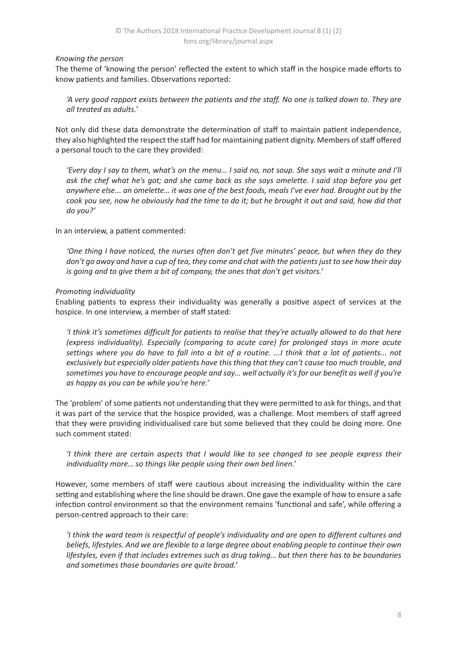#### *Knowing the person*

The theme of 'knowing the person' reflected the extent to which staff in the hospice made efforts to know patients and families. Observations reported:

*'A very good rapport exists between the patients and the staff. No one is talked down to. They are all treated as adults.'* 

Not only did these data demonstrate the determination of staff to maintain patient independence, they also highlighted the respect the staff had for maintaining patient dignity. Members of staff offered a personal touch to the care they provided:

*'Every day I say to them, what's on the menu… I said no, not soup. She says wait a minute and I'll ask the chef what he's got; and she came back as she says omelette. I said stop before you get anywhere else... an omelette… it was one of the best foods, meals I've ever had. Brought out by the cook you see, now he obviously had the time to do it; but he brought it out and said, how did that do you?'*

In an interview, a patient commented:

*'One thing I have noticed, the nurses often don't get five minutes' peace, but when they do they don't go away and have a cup of tea, they come and chat with the patients just to see how their day is going and to give them a bit of company, the ones that don't get visitors.'*

## *Promoting individuality*

Enabling patients to express their individuality was generally a positive aspect of services at the hospice. In one interview, a member of staff stated:

*'I think it's sometimes difficult for patients to realise that they're actually allowed to do that here (express individuality). Especially (comparing to acute care) for prolonged stays in more acute settings where you do have to fall into a bit of a routine. ...I think that a lot of patients... not exclusively but especially older patients have this thing that they can't cause too much trouble, and sometimes you have to encourage people and say… well actually it's for our benefit as well if you're as happy as you can be while you're here.'*

The 'problem' of some patients not understanding that they were permitted to ask for things, and that it was part of the service that the hospice provided, was a challenge. Most members of staff agreed that they were providing individualised care but some believed that they could be doing more. One such comment stated:

*'I think there are certain aspects that I would like to see changed to see people express their individuality more… so things like people using their own bed linen.'*

However, some members of staff were cautious about increasing the individuality within the care setting and establishing where the line should be drawn. One gave the example of how to ensure a safe infection control environment so that the environment remains 'functional and safe', while offering a person-centred approach to their care:

*'I think the ward team is respectful of people's individuality and are open to different cultures and beliefs, lifestyles. And we are flexible to a large degree about enabling people to continue their own lifestyles, even if that includes extremes such as drug taking… but then there has to be boundaries and sometimes those boundaries are quite broad.'*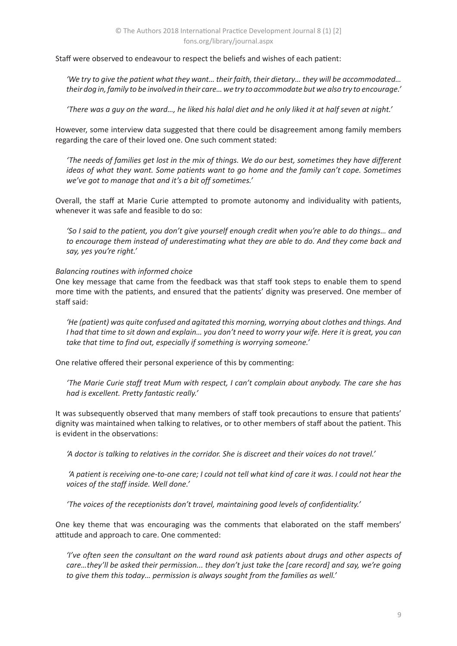Staff were observed to endeavour to respect the beliefs and wishes of each patient:

*'We try to give the patient what they want… their faith, their dietary… they will be accommodated… their dog in, family to be involved in their care… we try to accommodate but we also try to encourage.'* 

*'There was a guy on the ward…, he liked his halal diet and he only liked it at half seven at night.'*

However, some interview data suggested that there could be disagreement among family members regarding the care of their loved one. One such comment stated:

*'The needs of families get lost in the mix of things. We do our best, sometimes they have different ideas of what they want. Some patients want to go home and the family can't cope. Sometimes we've got to manage that and it's a bit off sometimes.'*

Overall, the staff at Marie Curie attempted to promote autonomy and individuality with patients, whenever it was safe and feasible to do so:

*'So I said to the patient, you don't give yourself enough credit when you're able to do things… and to encourage them instead of underestimating what they are able to do. And they come back and say, yes you're right.'*

#### *Balancing routines with informed choice*

One key message that came from the feedback was that staff took steps to enable them to spend more time with the patients, and ensured that the patients' dignity was preserved. One member of staff said:

*'He (patient) was quite confused and agitated this morning, worrying about clothes and things. And I had that time to sit down and explain… you don't need to worry your wife. Here it is great, you can take that time to find out, especially if something is worrying someone.'*

One relative offered their personal experience of this by commenting:

*'The Marie Curie staff treat Mum with respect, I can't complain about anybody. The care she has had is excellent. Pretty fantastic really.'*

It was subsequently observed that many members of staff took precautions to ensure that patients' dignity was maintained when talking to relatives, or to other members of staff about the patient. This is evident in the observations:

*'A doctor is talking to relatives in the corridor. She is discreet and their voices do not travel.'*

 *'A patient is receiving one-to-one care; I could not tell what kind of care it was. I could not hear the voices of the staff inside. Well done.'* 

*'The voices of the receptionists don't travel, maintaining good levels of confidentiality.'*

One key theme that was encouraging was the comments that elaborated on the staff members' attitude and approach to care. One commented:

*'I've often seen the consultant on the ward round ask patients about drugs and other aspects of care…they'll be asked their permission... they don't just take the [care record] and say, we're going to give them this today… permission is always sought from the families as well.'*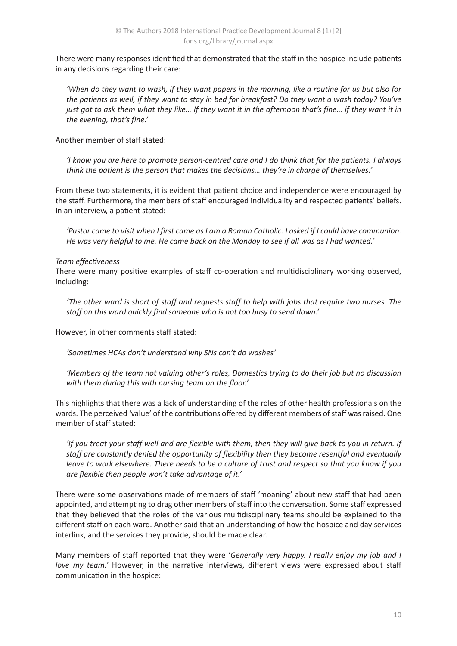There were many responses identified that demonstrated that the staff in the hospice include patients in any decisions regarding their care:

*'When do they want to wash, if they want papers in the morning, like a routine for us but also for the patients as well, if they want to stay in bed for breakfast? Do they want a wash today? You've just got to ask them what they like… If they want it in the afternoon that's fine… if they want it in the evening, that's fine.'*

Another member of staff stated:

*'I know you are here to promote person-centred care and I do think that for the patients. I always think the patient is the person that makes the decisions… they're in charge of themselves.'* 

From these two statements, it is evident that patient choice and independence were encouraged by the staff. Furthermore, the members of staff encouraged individuality and respected patients' beliefs. In an interview, a patient stated:

*'Pastor came to visit when I first came as I am a Roman Catholic. I asked if I could have communion. He was very helpful to me. He came back on the Monday to see if all was as I had wanted.'*

#### *Team effectiveness*

There were many positive examples of staff co-operation and multidisciplinary working observed, including:

*'The other ward is short of staff and requests staff to help with jobs that require two nurses. The staff on this ward quickly find someone who is not too busy to send down.'*

However, in other comments staff stated:

*'Sometimes HCAs don't understand why SNs can't do washes'* 

*'Members of the team not valuing other's roles, Domestics trying to do their job but no discussion with them during this with nursing team on the floor.'*

This highlights that there was a lack of understanding of the roles of other health professionals on the wards. The perceived 'value' of the contributions offered by different members of staff was raised. One member of staff stated:

*'If you treat your staff well and are flexible with them, then they will give back to you in return. If staff are constantly denied the opportunity of flexibility then they become resentful and eventually leave to work elsewhere. There needs to be a culture of trust and respect so that you know if you are flexible then people won't take advantage of it.'*

There were some observations made of members of staff 'moaning' about new staff that had been appointed, and attempting to drag other members of staff into the conversation. Some staff expressed that they believed that the roles of the various multidisciplinary teams should be explained to the different staff on each ward. Another said that an understanding of how the hospice and day services interlink, and the services they provide, should be made clear.

Many members of staff reported that they were '*Generally very happy. I really enjoy my job and I love my team.'* However, in the narrative interviews, different views were expressed about staff communication in the hospice: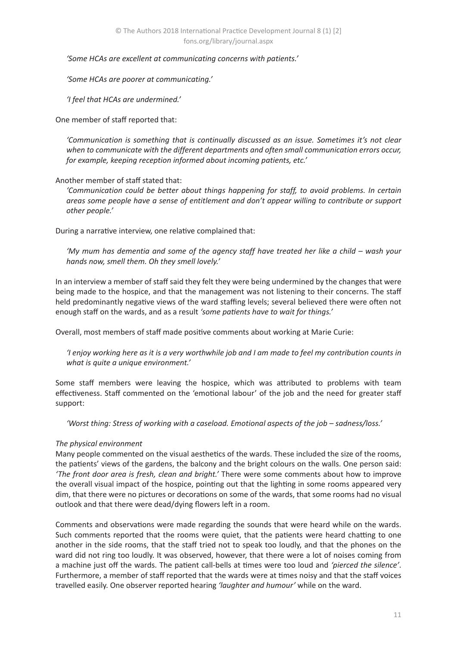*'Some HCAs are excellent at communicating concerns with patients.'* 

*'Some HCAs are poorer at communicating.'*

*'I feel that HCAs are undermined.'*

One member of staff reported that:

*'Communication is something that is continually discussed as an issue. Sometimes it's not clear when to communicate with the different departments and often small communication errors occur, for example, keeping reception informed about incoming patients, etc.'*

#### Another member of staff stated that:

*'Communication could be better about things happening for staff, to avoid problems. In certain areas some people have a sense of entitlement and don't appear willing to contribute or support other people.'*

During a narrative interview, one relative complained that:

*'My mum has dementia and some of the agency staff have treated her like a child – wash your hands now, smell them. Oh they smell lovely.'*

In an interview a member of staff said they felt they were being undermined by the changes that were being made to the hospice, and that the management was not listening to their concerns. The staff held predominantly negative views of the ward staffing levels; several believed there were often not enough staff on the wards, and as a result *'some patients have to wait for things.'*

Overall, most members of staff made positive comments about working at Marie Curie:

*'I enjoy working here as it is a very worthwhile job and I am made to feel my contribution counts in what is quite a unique environment.'*

Some staff members were leaving the hospice, which was attributed to problems with team effectiveness. Staff commented on the 'emotional labour' of the job and the need for greater staff support:

*'Worst thing: Stress of working with a caseload. Emotional aspects of the job – sadness/loss.'*

#### *The physical environment*

Many people commented on the visual aesthetics of the wards. These included the size of the rooms, the patients' views of the gardens, the balcony and the bright colours on the walls. One person said: *'The front door area is fresh, clean and bright.'* There were some comments about how to improve the overall visual impact of the hospice, pointing out that the lighting in some rooms appeared very dim, that there were no pictures or decorations on some of the wards, that some rooms had no visual outlook and that there were dead/dying flowers left in a room.

Comments and observations were made regarding the sounds that were heard while on the wards. Such comments reported that the rooms were quiet, that the patients were heard chatting to one another in the side rooms, that the staff tried not to speak too loudly, and that the phones on the ward did not ring too loudly. It was observed, however, that there were a lot of noises coming from a machine just off the wards. The patient call-bells at times were too loud and *'pierced the silence'*. Furthermore, a member of staff reported that the wards were at times noisy and that the staff voices travelled easily. One observer reported hearing *'laughter and humour'* while on the ward.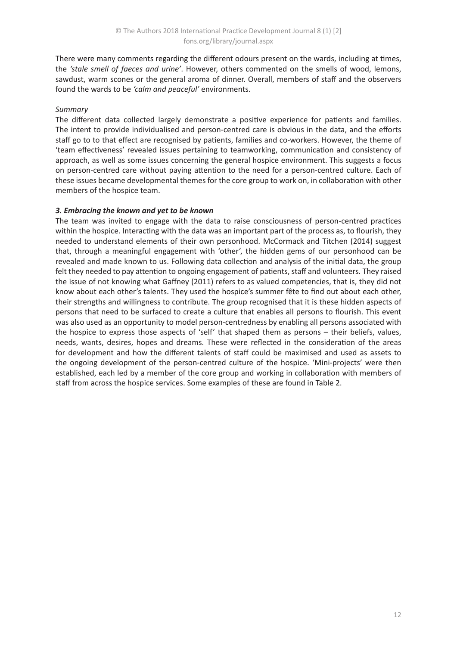There were many comments regarding the different odours present on the wards, including at times, the *'stale smell of faeces and urine'*. However, others commented on the smells of wood, lemons, sawdust, warm scones or the general aroma of dinner. Overall, members of staff and the observers found the wards to be *'calm and peaceful'* environments.

## *Summary*

The different data collected largely demonstrate a positive experience for patients and families. The intent to provide individualised and person-centred care is obvious in the data, and the efforts staff go to to that effect are recognised by patients, families and co-workers. However, the theme of 'team effectiveness' revealed issues pertaining to teamworking, communication and consistency of approach, as well as some issues concerning the general hospice environment. This suggests a focus on person-centred care without paying attention to the need for a person-centred culture. Each of these issues became developmental themes for the core group to work on, in collaboration with other members of the hospice team.

## *3. Embracing the known and yet to be known*

The team was invited to engage with the data to raise consciousness of person-centred practices within the hospice. Interacting with the data was an important part of the process as, to flourish, they needed to understand elements of their own personhood. McCormack and Titchen (2014) suggest that, through a meaningful engagement with 'other', the hidden gems of our personhood can be revealed and made known to us. Following data collection and analysis of the initial data, the group felt they needed to pay attention to ongoing engagement of patients, staff and volunteers. They raised the issue of not knowing what Gaffney (2011) refers to as valued competencies, that is, they did not know about each other's talents. They used the hospice's summer fête to find out about each other, their strengths and willingness to contribute. The group recognised that it is these hidden aspects of persons that need to be surfaced to create a culture that enables all persons to flourish. This event was also used as an opportunity to model person-centredness by enabling all persons associated with the hospice to express those aspects of 'self' that shaped them as persons – their beliefs, values, needs, wants, desires, hopes and dreams. These were reflected in the consideration of the areas for development and how the different talents of staff could be maximised and used as assets to the ongoing development of the person-centred culture of the hospice. 'Mini-projects' were then established, each led by a member of the core group and working in collaboration with members of staff from across the hospice services. Some examples of these are found in Table 2.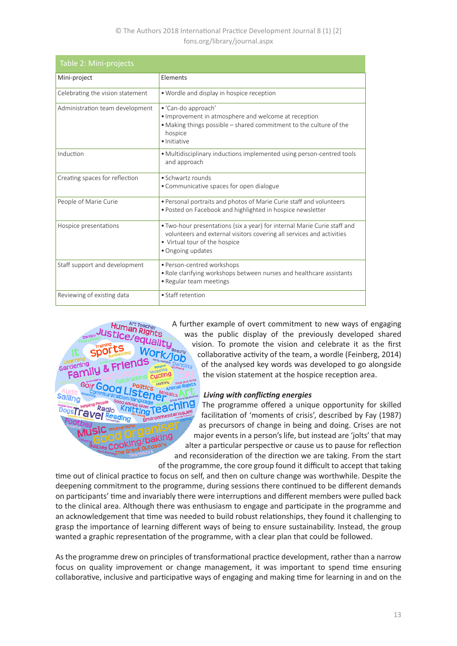## © The Authors 2018 International Practice Development Journal 8 (1) [2] fons.org/library/journal.aspx

| Table 2: Mini-projects           |                                                                                                                                                                                                         |  |  |
|----------------------------------|---------------------------------------------------------------------------------------------------------------------------------------------------------------------------------------------------------|--|--|
| Mini-project                     | Elements                                                                                                                                                                                                |  |  |
| Celebrating the vision statement | • Wordle and display in hospice reception                                                                                                                                                               |  |  |
| Administration team development  | • 'Can-do approach'<br>· Improvement in atmosphere and welcome at reception<br>• Making things possible – shared commitment to the culture of the<br>hospice<br>· Initiative                            |  |  |
| Induction                        | • Multidisciplinary inductions implemented using person-centred tools<br>and approach                                                                                                                   |  |  |
| Creating spaces for reflection   | • Schwartz rounds<br>• Communicative spaces for open dialogue                                                                                                                                           |  |  |
| People of Marie Curie            | . Personal portraits and photos of Marie Curie staff and volunteers<br>• Posted on Facebook and highlighted in hospice newsletter                                                                       |  |  |
| Hospice presentations            | • Two-hour presentations (six a year) for internal Marie Curie staff and<br>volunteers and external visitors covering all services and activities<br>• Virtual tour of the hospice<br>• Ongoing updates |  |  |
| Staff support and development    | • Person-centred workshops<br>. Role clarifying workshops between nurses and healthcare assistants<br>• Regular team meetings                                                                           |  |  |
| Reviewing of existing data       | • Staff retention                                                                                                                                                                                       |  |  |



A further example of overt commitment to new ways of engaging was the public display of the previously developed shared vision. To promote the vision and celebrate it as the first collaborative activity of the team, a wordle (Feinberg, 2014) of the analysed key words was developed to go alongside the vision statement at the hospice reception area.

#### *Living with conflicting energies*

The programme offered a unique opportunity for skilled facilitation of 'moments of crisis', described by Fay (1987) as precursors of change in being and doing. Crises are not major events in a person's life, but instead are 'jolts' that may alter a particular perspective or cause us to pause for reflection and reconsideration of the direction we are taking. From the start of the programme, the core group found it difficult to accept that taking

time out of clinical practice to focus on self, and then on culture change was worthwhile. Despite the deepening commitment to the programme, during sessions there continued to be different demands on participants' time and invariably there were interruptions and different members were pulled back to the clinical area. Although there was enthusiasm to engage and participate in the programme and an acknowledgement that time was needed to build robust relationships, they found it challenging to grasp the importance of learning different ways of being to ensure sustainability. Instead, the group wanted a graphic representation of the programme, with a clear plan that could be followed.

As the programme drew on principles of transformational practice development, rather than a narrow focus on quality improvement or change management, it was important to spend time ensuring collaborative, inclusive and participative ways of engaging and making time for learning in and on the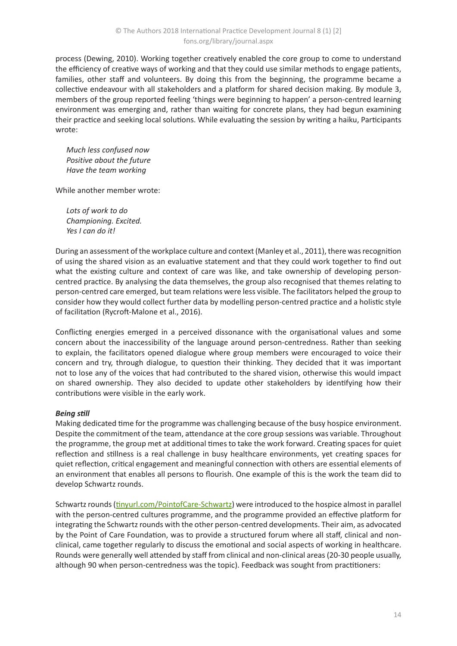process (Dewing, 2010). Working together creatively enabled the core group to come to understand the efficiency of creative ways of working and that they could use similar methods to engage patients, families, other staff and volunteers. By doing this from the beginning, the programme became a collective endeavour with all stakeholders and a platform for shared decision making. By module 3, members of the group reported feeling 'things were beginning to happen' a person-centred learning environment was emerging and, rather than waiting for concrete plans, they had begun examining their practice and seeking local solutions. While evaluating the session by writing a haiku, Participants wrote:

*Much less confused now Positive about the future Have the team working*

While another member wrote:

*Lots of work to do Championing. Excited. Yes I can do it!*

During an assessment of the workplace culture and context (Manley et al., 2011), there was recognition of using the shared vision as an evaluative statement and that they could work together to find out what the existing culture and context of care was like, and take ownership of developing personcentred practice. By analysing the data themselves, the group also recognised that themes relating to person-centred care emerged, but team relations were less visible. The facilitators helped the group to consider how they would collect further data by modelling person-centred practice and a holistic style of facilitation (Rycroft-Malone et al., 2016).

Conflicting energies emerged in a perceived dissonance with the organisational values and some concern about the inaccessibility of the language around person-centredness. Rather than seeking to explain, the facilitators opened dialogue where group members were encouraged to voice their concern and try, through dialogue, to question their thinking. They decided that it was important not to lose any of the voices that had contributed to the shared vision, otherwise this would impact on shared ownership. They also decided to update other stakeholders by identifying how their contributions were visible in the early work.

## *Being still*

Making dedicated time for the programme was challenging because of the busy hospice environment. Despite the commitment of the team, attendance at the core group sessions was variable. Throughout the programme, the group met at additional times to take the work forward. Creating spaces for quiet reflection and stillness is a real challenge in busy healthcare environments, yet creating spaces for quiet reflection, critical engagement and meaningful connection with others are essential elements of an environment that enables all persons to flourish. One example of this is the work the team did to develop Schwartz rounds.

Schwartz rounds [\(tinyurl.com/PointofCare-Schwartz](http://tinyurl.com/PointofCare-Schwartz)) were introduced to the hospice almost in parallel with the person-centred cultures programme, and the programme provided an effective platform for integrating the Schwartz rounds with the other person-centred developments. Their aim, as advocated by the Point of Care Foundation, was to provide a structured forum where all staff, clinical and nonclinical, came together regularly to discuss the emotional and social aspects of working in healthcare. Rounds were generally well attended by staff from clinical and non-clinical areas (20-30 people usually, although 90 when person-centredness was the topic). Feedback was sought from practitioners: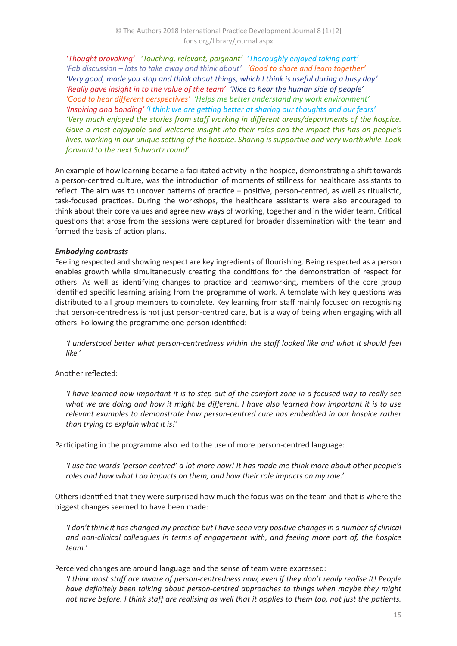*'Thought provoking' 'Touching, relevant, poignant' 'Thoroughly enjoyed taking part' 'Fab discussion – lots to take away and think about' 'Good to share and learn together' 'Very good, made you stop and think about things, which I think is useful during a busy day' 'Really gave insight in to the value of the team' 'Nice to hear the human side of people' 'Good to hear different perspectives' 'Helps me better understand my work environment' 'Inspiring and bonding' 'I think we are getting better at sharing our thoughts and our fears' 'Very much enjoyed the stories from staff working in different areas/departments of the hospice. Gave a most enjoyable and welcome insight into their roles and the impact this has on people's lives, working in our unique setting of the hospice. Sharing is supportive and very worthwhile. Look forward to the next Schwartz round'*

An example of how learning became a facilitated activity in the hospice, demonstrating a shift towards a person-centred culture, was the introduction of moments of stillness for healthcare assistants to reflect. The aim was to uncover patterns of practice – positive, person-centred, as well as ritualistic, task-focused practices. During the workshops, the healthcare assistants were also encouraged to think about their core values and agree new ways of working, together and in the wider team. Critical questions that arose from the sessions were captured for broader dissemination with the team and formed the basis of action plans.

#### *Embodying contrasts*

Feeling respected and showing respect are key ingredients of flourishing. Being respected as a person enables growth while simultaneously creating the conditions for the demonstration of respect for others. As well as identifying changes to practice and teamworking, members of the core group identified specific learning arising from the programme of work. A template with key questions was distributed to all group members to complete. Key learning from staff mainly focused on recognising that person-centredness is not just person-centred care, but is a way of being when engaging with all others. Following the programme one person identified:

*'I understood better what person-centredness within the staff looked like and what it should feel like.'*

## Another reflected:

*'I have learned how important it is to step out of the comfort zone in a focused way to really see what we are doing and how it might be different. I have also learned how important it is to use relevant examples to demonstrate how person-centred care has embedded in our hospice rather than trying to explain what it is!'*

Participating in the programme also led to the use of more person-centred language:

*'I use the words 'person centred' a lot more now! It has made me think more about other people's roles and how what I do impacts on them, and how their role impacts on my role.'*

Others identified that they were surprised how much the focus was on the team and that is where the biggest changes seemed to have been made:

*'I don't think it has changed my practice but I have seen very positive changes in a number of clinical and non-clinical colleagues in terms of engagement with, and feeling more part of, the hospice team.'*

Perceived changes are around language and the sense of team were expressed:

*'I think most staff are aware of person-centredness now, even if they don't really realise it! People have definitely been talking about person-centred approaches to things when maybe they might not have before. I think staff are realising as well that it applies to them too, not just the patients.*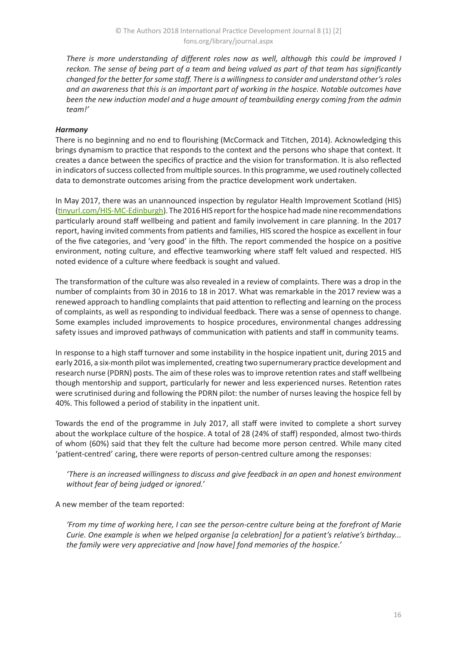*There is more understanding of different roles now as well, although this could be improved I reckon. The sense of being part of a team and being valued as part of that team has significantly changed for the better for some staff. There is a willingness to consider and understand other's roles and an awareness that this is an important part of working in the hospice. Notable outcomes have been the new induction model and a huge amount of teambuilding energy coming from the admin team!'*

## *Harmony*

There is no beginning and no end to flourishing (McCormack and Titchen, 2014). Acknowledging this brings dynamism to practice that responds to the context and the persons who shape that context. It creates a dance between the specifics of practice and the vision for transformation. It is also reflected in indicators of success collected from multiple sources. In this programme, we used routinely collected data to demonstrate outcomes arising from the practice development work undertaken.

In May 2017, there was an unannounced inspection by regulator Health Improvement Scotland (HIS) ([tinyurl.com/HIS-MC-Edinburgh\)](http://tinyurl.com/HIS-MC-Edinburgh). The 2016 HIS report for the hospice had made nine recommendations particularly around staff wellbeing and patient and family involvement in care planning. In the 2017 report, having invited comments from patients and families, HIS scored the hospice as excellent in four of the five categories, and 'very good' in the fifth. The report commended the hospice on a positive environment, noting culture, and effective teamworking where staff felt valued and respected. HIS noted evidence of a culture where feedback is sought and valued.

The transformation of the culture was also revealed in a review of complaints. There was a drop in the number of complaints from 30 in 2016 to 18 in 2017. What was remarkable in the 2017 review was a renewed approach to handling complaints that paid attention to reflecting and learning on the process of complaints, as well as responding to individual feedback. There was a sense of openness to change. Some examples included improvements to hospice procedures, environmental changes addressing safety issues and improved pathways of communication with patients and staff in community teams.

In response to a high staff turnover and some instability in the hospice inpatient unit, during 2015 and early 2016, a six-month pilot was implemented, creating two supernumerary practice development and research nurse (PDRN) posts. The aim of these roles was to improve retention rates and staff wellbeing though mentorship and support, particularly for newer and less experienced nurses. Retention rates were scrutinised during and following the PDRN pilot: the number of nurses leaving the hospice fell by 40%. This followed a period of stability in the inpatient unit.

Towards the end of the programme in July 2017, all staff were invited to complete a short survey about the workplace culture of the hospice. A total of 28 (24% of staff) responded, almost two-thirds of whom (60%) said that they felt the culture had become more person centred. While many cited 'patient-centred' caring, there were reports of person-centred culture among the responses:

*'There is an increased willingness to discuss and give feedback in an open and honest environment without fear of being judged or ignored.'*

A new member of the team reported:

*'From my time of working here, I can see the person-centre culture being at the forefront of Marie Curie. One example is when we helped organise [a celebration] for a patient's relative's birthday... the family were very appreciative and [now have] fond memories of the hospice.'*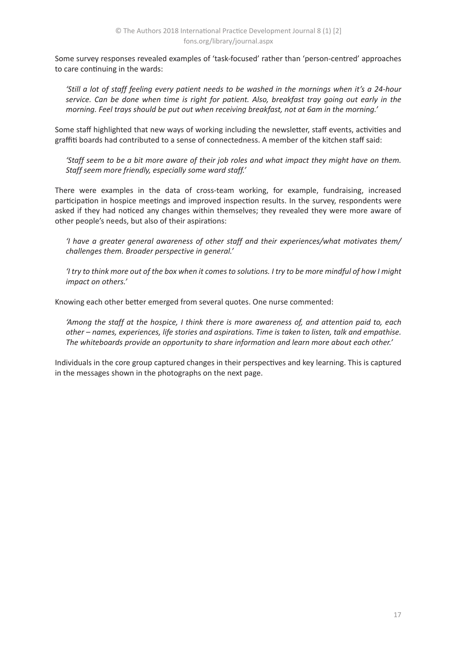Some survey responses revealed examples of 'task-focused' rather than 'person-centred' approaches to care continuing in the wards:

*'Still a lot of staff feeling every patient needs to be washed in the mornings when it's a 24-hour service. Can be done when time is right for patient. Also, breakfast tray going out early in the morning. Feel trays should be put out when receiving breakfast, not at 6am in the morning.'*

Some staff highlighted that new ways of working including the newsletter, staff events, activities and graffiti boards had contributed to a sense of connectedness. A member of the kitchen staff said:

*'Staff seem to be a bit more aware of their job roles and what impact they might have on them. Staff seem more friendly, especially some ward staff.'*

There were examples in the data of cross-team working, for example, fundraising, increased participation in hospice meetings and improved inspection results. In the survey, respondents were asked if they had noticed any changes within themselves; they revealed they were more aware of other people's needs, but also of their aspirations:

*'I have a greater general awareness of other staff and their experiences/what motivates them/ challenges them. Broader perspective in general.'*

*'I try to think more out of the box when it comes to solutions. I try to be more mindful of how I might impact on others.'*

Knowing each other better emerged from several quotes. One nurse commented:

*'Among the staff at the hospice, I think there is more awareness of, and attention paid to, each other – names, experiences, life stories and aspirations. Time is taken to listen, talk and empathise. The whiteboards provide an opportunity to share information and learn more about each other.'*

Individuals in the core group captured changes in their perspectives and key learning. This is captured in the messages shown in the photographs on the next page.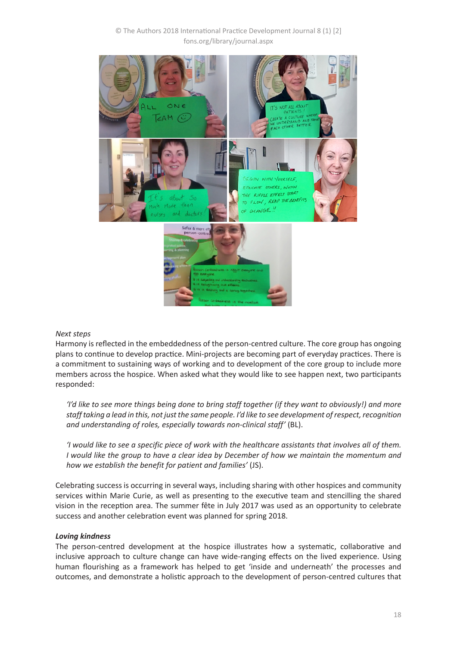## © The Authors 2018 International Practice Development Journal 8 (1) [2] fons.org/library/journal.aspx



#### *Next steps*

Harmony is reflected in the embeddedness of the person-centred culture. The core group has ongoing plans to continue to develop practice. Mini-projects are becoming part of everyday practices. There is a commitment to sustaining ways of working and to development of the core group to include more members across the hospice. When asked what they would like to see happen next, two participants responded:

*'I'd like to see more things being done to bring staff together (if they want to obviously!) and more staff taking a lead in this, not just the same people. I'd like to see development of respect, recognition and understanding of roles, especially towards non-clinical staff'* (BL).

*'I would like to see a specific piece of work with the healthcare assistants that involves all of them. I would like the group to have a clear idea by December of how we maintain the momentum and how we establish the benefit for patient and families'* (JS).

Celebrating success is occurring in several ways, including sharing with other hospices and community services within Marie Curie, as well as presenting to the executive team and stencilling the shared vision in the reception area. The summer fête in July 2017 was used as an opportunity to celebrate success and another celebration event was planned for spring 2018.

#### *Loving kindness*

The person-centred development at the hospice illustrates how a systematic, collaborative and inclusive approach to culture change can have wide-ranging effects on the lived experience. Using human flourishing as a framework has helped to get 'inside and underneath' the processes and outcomes, and demonstrate a holistic approach to the development of person-centred cultures that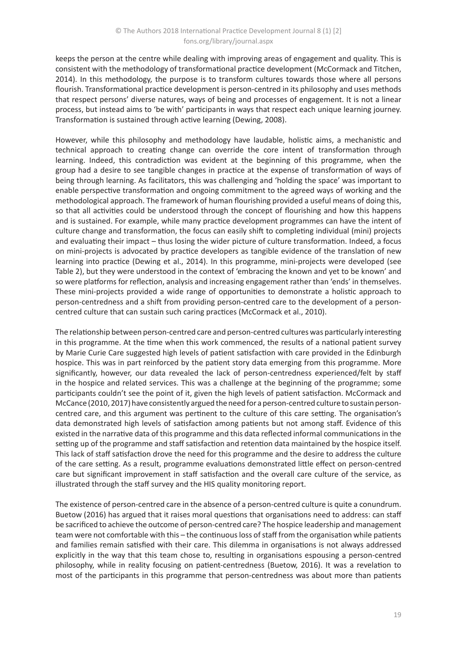keeps the person at the centre while dealing with improving areas of engagement and quality. This is consistent with the methodology of transformational practice development (McCormack and Titchen, 2014). In this methodology, the purpose is to transform cultures towards those where all persons flourish. Transformational practice development is person-centred in its philosophy and uses methods that respect persons' diverse natures, ways of being and processes of engagement. It is not a linear process, but instead aims to 'be with' participants in ways that respect each unique learning journey. Transformation is sustained through active learning (Dewing, 2008).

However, while this philosophy and methodology have laudable, holistic aims, a mechanistic and technical approach to creating change can override the core intent of transformation through learning. Indeed, this contradiction was evident at the beginning of this programme, when the group had a desire to see tangible changes in practice at the expense of transformation of ways of being through learning. As facilitators, this was challenging and 'holding the space' was important to enable perspective transformation and ongoing commitment to the agreed ways of working and the methodological approach. The framework of human flourishing provided a useful means of doing this, so that all activities could be understood through the concept of flourishing and how this happens and is sustained. For example, while many practice development programmes can have the intent of culture change and transformation, the focus can easily shift to completing individual (mini) projects and evaluating their impact – thus losing the wider picture of culture transformation. Indeed, a focus on mini-projects is advocated by practice developers as tangible evidence of the translation of new learning into practice (Dewing et al., 2014). In this programme, mini-projects were developed (see Table 2), but they were understood in the context of 'embracing the known and yet to be known' and so were platforms for reflection, analysis and increasing engagement rather than 'ends' in themselves. These mini-projects provided a wide range of opportunities to demonstrate a holistic approach to person-centredness and a shift from providing person-centred care to the development of a personcentred culture that can sustain such caring practices (McCormack et al., 2010).

The relationship between person-centred care and person-centred cultures was particularly interesting in this programme. At the time when this work commenced, the results of a national patient survey by Marie Curie Care suggested high levels of patient satisfaction with care provided in the Edinburgh hospice. This was in part reinforced by the patient story data emerging from this programme. More significantly, however, our data revealed the lack of person-centredness experienced/felt by staff in the hospice and related services. This was a challenge at the beginning of the programme; some participants couldn't see the point of it, given the high levels of patient satisfaction. McCormack and McCance (2010, 2017) have consistently argued the need for a person-centred culture to sustain personcentred care, and this argument was pertinent to the culture of this care setting. The organisation's data demonstrated high levels of satisfaction among patients but not among staff. Evidence of this existed in the narrative data of this programme and this data reflected informal communications in the setting up of the programme and staff satisfaction and retention data maintained by the hospice itself. This lack of staff satisfaction drove the need for this programme and the desire to address the culture of the care setting. As a result, programme evaluations demonstrated little effect on person-centred care but significant improvement in staff satisfaction and the overall care culture of the service, as illustrated through the staff survey and the HIS quality monitoring report.

The existence of person-centred care in the absence of a person-centred culture is quite a conundrum. Buetow (2016) has argued that it raises moral questions that organisations need to address: can staff be sacrificed to achieve the outcome of person-centred care? The hospice leadership and management team were not comfortable with this – the continuous loss of staff from the organisation while patients and families remain satisfied with their care. This dilemma in organisations is not always addressed explicitly in the way that this team chose to, resulting in organisations espousing a person-centred philosophy, while in reality focusing on patient-centredness (Buetow, 2016). It was a revelation to most of the participants in this programme that person-centredness was about more than patients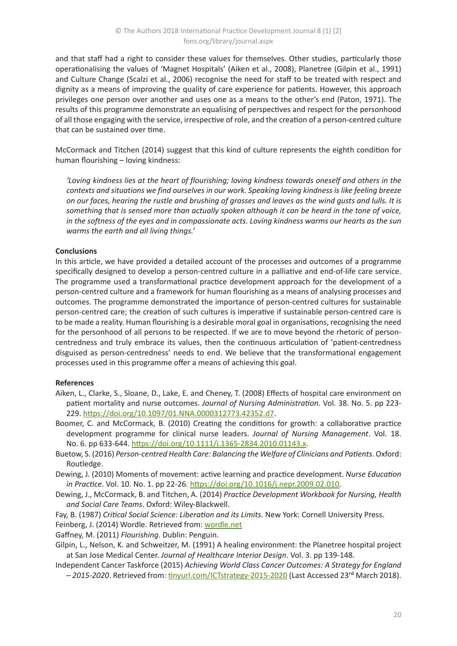and that staff had a right to consider these values for themselves. Other studies, particularly those operationalising the values of 'Magnet Hospitals' (Aiken et al., 2008), Planetree (Gilpin et al., 1991) and Culture Change (Scalzi et al., 2006) recognise the need for staff to be treated with respect and dignity as a means of improving the quality of care experience for patients. However, this approach privileges one person over another and uses one as a means to the other's end (Paton, 1971). The results of this programme demonstrate an equalising of perspectives and respect for the personhood of all those engaging with the service, irrespective of role, and the creation of a person-centred culture that can be sustained over time.

McCormack and Titchen (2014) suggest that this kind of culture represents the eighth condition for human flourishing – loving kindness:

*'Loving kindness lies at the heart of flourishing; loving kindness towards oneself and others in the contexts and situations we find ourselves in our work. Speaking loving kindness is like feeling breeze on our faces, hearing the rustle and brushing of grasses and leaves as the wind gusts and lulls. It is something that is sensed more than actually spoken although it can be heard in the tone of voice, in the softness of the eyes and in compassionate acts. Loving kindness warms our hearts as the sun warms the earth and all living things.'*

#### **Conclusions**

In this article, we have provided a detailed account of the processes and outcomes of a programme specifically designed to develop a person-centred culture in a palliative and end-of-life care service. The programme used a transformational practice development approach for the development of a person-centred culture and a framework for human flourishing as a means of analysing processes and outcomes. The programme demonstrated the importance of person-centred cultures for sustainable person-centred care; the creation of such cultures is imperative if sustainable person-centred care is to be made a reality. Human flourishing is a desirable moral goal in organisations, recognising the need for the personhood of all persons to be respected. If we are to move beyond the rhetoric of personcentredness and truly embrace its values, then the continuous articulation of 'patient-centredness disguised as person-centredness' needs to end. We believe that the transformational engagement processes used in this programme offer a means of achieving this goal.

## **References**

- Aiken, L., Clarke, S., Sloane, D., Lake, E. and Cheney, T. (2008) Effects of hospital care environment on patient mortality and nurse outcomes. *Journal of Nursing Administration*. Vol. 38. No. 5. pp 223- 229.<https://doi.org/10.1097/01.NNA.0000312773.42352.d7>.
- Boomer, C. and McCormack, B. (2010) Creating the conditions for growth: a collaborative practice development programme for clinical nurse leaders. *Journal of Nursing Management*. Vol. 18. No. 6. pp 633-644. <https://doi.org/10.1111/j.1365-2834.2010.01143.x>.
- Buetow, S. (2016) *Person-centred Health Care: Balancing the Welfare of Clinicians and Patients*. Oxford: Routledge.

Dewing, J. (2010) Moments of movement: active learning and practice development. *Nurse Education in Practice*. Vol. 10. No. 1. pp 22-26. <https://doi.org/10.1016/j.nepr.2009.02.010>.

Dewing, J., McCormack, B. and Titchen, A. (2014) *Practice Development Workbook for Nursing, Health and Social Care Teams*. Oxford: Wiley-Blackwell.

Fay, B. (1987) *Critical Social Science: Liberation and its Limits*. New York: Cornell University Press.

Feinberg, J. (2014) Wordle. Retrieved from: [wordle.net](http://www.wordle.net/)

Gaffney, M. (2011) *Flourishing*. Dublin: Penguin.

Gilpin, L., Nelson, K. and Schweitzer, M. (1991) A healing environment: the Planetree hospital project at San Jose Medical Center. *Journal of Healthcare Interior Design*. Vol. 3. pp 139-148.

Independent Cancer Taskforce (2015) *Achieving World Class Cancer Outcomes: A Strategy for England – 2015-2020*. Retrieved from: [tinyurl.com/ICTstrategy-2015-2020](http://tinyurl.com/ICTstrategy-2015-2020) (Last Accessed 23rd March 2018).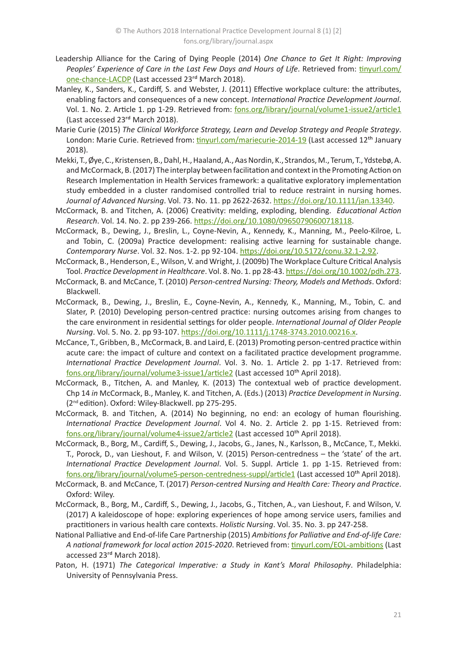- Leadership Alliance for the Caring of Dying People (2014) *One Chance to Get It Right: Improving*  Peoples' Experience of Care in the Last Few Days and Hours of Life. Retrieved from: [tinyurl.com/](http://tinyurl.com/one-chance-LACDP) [one-chance-LACDP](http://tinyurl.com/one-chance-LACDP) (Last accessed 23rd March 2018).
- Manley, K., Sanders, K., Cardiff, S. and Webster, J. (2011) Effective workplace culture: the attributes, enabling factors and consequences of a new concept. *International Practice Development Journal*. Vol. 1. No. 2. Article 1. pp 1-29. Retrieved from: [fons.org/library/journal/volume1-issue2/article1](https://www.fons.org/library/journal/volume1-issue2/article1) (Last accessed 23rd March 2018).
- Marie Curie (2015) *The Clinical Workforce Strategy, Learn and Develop Strategy and People Strategy*. London: Marie Curie. Retrieved from: [tinyurl.com/mariecurie-2014-19](http://tinyurl.com/mariecurie-2014-19) (Last accessed 12th January 2018).
- Mekki, T., Øye, C., Kristensen, B., Dahl, H., Haaland, A., Aas Nordin, K., Strandos, M., Terum, T., Ydstebø, A. and McCormack, B. (2017) The interplay between facilitation and context in the Promoting Action on Research Implementation in Health Services framework: a qualitative exploratory implementation study embedded in a cluster randomised controlled trial to reduce restraint in nursing homes. *Journal of Advanced Nursing*. Vol. 73. No. 11. pp 2622-2632. <https://doi.org/10.1111/jan.13340>.
- McCormack, B. and Titchen, A. (2006) Creativity: melding, exploding, blending. *Educational Action Research*. Vol. 14. No. 2. pp 239-266. <https://doi.org/10.1080/09650790600718118>.
- McCormack, B., Dewing, J., Breslin, L., Coyne-Nevin, A., Kennedy, K., Manning, M., Peelo-Kilroe, L. and Tobin, C. (2009a) Practice development: realising active learning for sustainable change. *Contemporary Nurse*. Vol. 32. Nos. 1-2. pp 92-104. <https://doi.org/10.5172/conu.32.1-2.92>.
- McCormack, B., Henderson, E., Wilson, V. and Wright, J. (2009b) The Workplace Culture Critical Analysis Tool. *Practice Development in Healthcare*. Vol. 8. No. 1. pp 28-43.<https://doi.org/10.1002/pdh.273>.
- McCormack, B. and McCance, T. (2010) *Person-centred Nursing: Theory, Models and Methods*. Oxford: Blackwell.
- McCormack, B., Dewing, J., Breslin, E., Coyne-Nevin, A., Kennedy, K., Manning, M., Tobin, C. and Slater, P. (2010) Developing person-centred practice: nursing outcomes arising from changes to the care environment in residential settings for older people. *International Journal of Older People Nursing*. Vol. 5. No. 2. pp 93-107.<https://doi.org/10.1111/j.1748-3743.2010.00216.x>.
- McCance, T., Gribben, B., McCormack, B. and Laird, E. (2013) Promoting person-centred practice within acute care: the impact of culture and context on a facilitated practice development programme. *International Practice Development Journal*. Vol. 3. No. 1. Article 2. pp 1-17. Retrieved from: [fons.org/library/journal/volume3-issue1/article2](http://www.fons.org/library/journal/volume3-issue1/article2) (Last accessed 10<sup>th</sup> April 2018).
- McCormack, B., Titchen, A. and Manley, K. (2013) The contextual web of practice development. Chp 14 *in* McCormack, B., Manley, K. and Titchen, A. (Eds.) (2013) *Practice Development in Nursing*. (2nd edition). Oxford: Wiley-Blackwell. pp 275-295.
- McCormack, B. and Titchen, A. (2014) No beginning, no end: an ecology of human flourishing. *International Practice Development Journal*. Vol 4. No. 2. Article 2. pp 1-15. Retrieved from: [fons.org/library/journal/volume4-issue2/article2](http://www.fons.org/library/journal/volume4-issue2/article2) (Last accessed 10<sup>th</sup> April 2018).
- McCormack, B., Borg, M., Cardiff, S., Dewing, J., Jacobs, G., Janes, N., Karlsson, B., McCance, T., Mekki. T., Porock, D., van Lieshout, F. and Wilson, V. (2015) Person-centredness – the 'state' of the art. *International Practice Development Journal*. Vol. 5. Suppl. Article 1. pp 1-15. Retrieved from: [fons.org/library/journal/volume5-person-centredness-suppl/article1](http://www.fons.org/library/journal/volume5-person-centredness-suppl/article1) (Last accessed 10<sup>th</sup> April 2018).
- McCormack, B. and McCance, T. (2017) *Person-centred Nursing and Health Care: Theory and Practice*. Oxford: Wiley.
- McCormack, B., Borg, M., Cardiff, S., Dewing, J., Jacobs, G., Titchen, A., van Lieshout, F. and Wilson, V. (2017) A kaleidoscope of hope: exploring experiences of hope among service users, families and practitioners in various health care contexts. *Holistic Nursing*. Vol. 35. No. 3. pp 247-258.
- National Palliative and End-of-life Care Partnership (2015) *Ambitions for Palliative and End-of-life Care: A national framework for local action 2015-2020*. Retrieved from: [tinyurl.com/EOL-ambitions](http://tinyurl.com/EOL-ambitions) (Last accessed 23rd March 2018).
- Paton, H. (1971) *The Categorical Imperative: a Study in Kant's Moral Philosophy*. Philadelphia: University of Pennsylvania Press.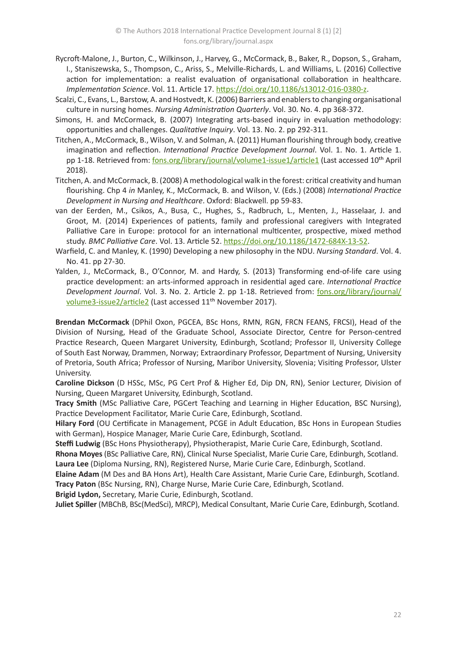- Rycroft-Malone, J., Burton, C., Wilkinson, J., Harvey, G., McCormack, B., Baker, R., Dopson, S., Graham, I., Staniszewska, S., Thompson, C., Ariss, S., Melville-Richards, L. and Williams, L. (2016) Collective action for implementation: a realist evaluation of organisational collaboration in healthcare. *Implementation Science*. Vol. 11. Article 17. <https://doi.org/10.1186/s13012-016-0380-z>.
- Scalzi, C., Evans, L., Barstow, A. and Hostvedt, K. (2006) Barriers and enablers to changing organisational culture in nursing homes. *Nursing Administration Quarterly*. Vol. 30. No. 4. pp 368-372.
- Simons, H. and McCormack, B. (2007) Integrating arts-based inquiry in evaluation methodology: opportunities and challenges. *Qualitative Inquiry*. Vol. 13. No. 2. pp 292-311.
- Titchen, A., McCormack, B., Wilson, V. and Solman, A. (2011) Human flourishing through body, creative imagination and reflection. *International Practice Development Journal*. Vol. 1. No. 1. Article 1. pp 1-18. Retrieved from: [fons.org/library/journal/volume1-issue1/article1](https://www.fons.org/library/journal/volume1-issue1/article1) (Last accessed 10<sup>th</sup> April 2018).
- Titchen, A. and McCormack, B. (2008) A methodological walk in the forest: critical creativity and human flourishing. Chp 4 *in* Manley, K., McCormack, B. and Wilson, V. (Eds.) (2008) *International Practice Development in Nursing and Healthcare*. Oxford: Blackwell. pp 59-83.
- van der Eerden, M., Csikos, A., Busa, C., Hughes, S., Radbruch, L., Menten, J., Hasselaar, J. and Groot, M. (2014) Experiences of patients, family and professional caregivers with Integrated Palliative Care in Europe: protocol for an international multicenter, prospective, mixed method study. *BMC Palliative Care*. Vol. 13. Article 52. <https://doi.org/10.1186/1472-684X-13-52>.
- Warfield, C. and Manley, K. (1990) Developing a new philosophy in the NDU. *Nursing Standard*. Vol. 4. No. 41. pp 27-30.
- Yalden, J., McCormack, B., O'Connor, M. and Hardy, S. (2013) Transforming end-of-life care using practice development: an arts-informed approach in residential aged care. *International Practice Development Journal*. Vol. 3. No. 2. Article 2. pp 1-18. Retrieved from: [fons.org/library/journal/](https://www.fons.org/library/journal/volume3-issue2/article2) [volume3-issue2/article2](https://www.fons.org/library/journal/volume3-issue2/article2) (Last accessed 11<sup>th</sup> November 2017).

**Brendan McCormack** (DPhil Oxon, PGCEA, BSc Hons, RMN, RGN, FRCN FEANS, FRCSI), Head of the Division of Nursing, Head of the Graduate School, Associate Director, Centre for Person-centred Practice Research, Queen Margaret University, Edinburgh, Scotland; Professor II, University College of South East Norway, Drammen, Norway; Extraordinary Professor, Department of Nursing, University of Pretoria, South Africa; Professor of Nursing, Maribor University, Slovenia; Visiting Professor, Ulster University.

**Caroline Dickson** (D HSSc, MSc, PG Cert Prof & Higher Ed, Dip DN, RN), Senior Lecturer, Division of Nursing, Queen Margaret University, Edinburgh, Scotland.

**Tracy Smith** (MSc Palliative Care, PGCert Teaching and Learning in Higher Education, BSC Nursing), Practice Development Facilitator, Marie Curie Care, Edinburgh, Scotland.

**Hilary Ford** (OU Certificate in Management, PCGE in Adult Education, BSc Hons in European Studies with German), Hospice Manager, Marie Curie Care, Edinburgh, Scotland.

**Steffi Ludwig** (BSc Hons Physiotherapy), Physiotherapist, Marie Curie Care, Edinburgh, Scotland.

**Rhona Moyes** (BSc Palliative Care, RN), Clinical Nurse Specialist, Marie Curie Care, Edinburgh, Scotland. **Laura Lee** (Diploma Nursing, RN), Registered Nurse, Marie Curie Care, Edinburgh, Scotland.

**Elaine Adam** (M Des and BA Hons Art), Health Care Assistant, Marie Curie Care, Edinburgh, Scotland. **Tracy Paton** (BSc Nursing, RN), Charge Nurse, Marie Curie Care, Edinburgh, Scotland.

**Brigid Lydon,** Secretary, Marie Curie, Edinburgh, Scotland.

**Juliet Spiller** (MBChB, BSc(MedSci), MRCP), Medical Consultant, Marie Curie Care, Edinburgh, Scotland.